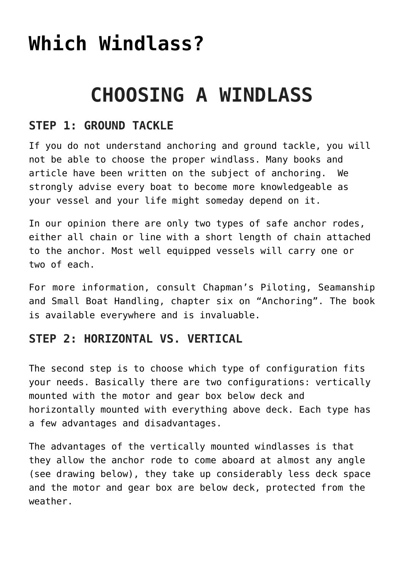# **[Which Windlass?](https://www.schaefermarine.com/our-products/ideal-windlass/which-windlass/)**

## **CHOOSING A WINDLASS**

### **STEP 1: GROUND TACKLE**

If you do not understand anchoring and ground tackle, you will not be able to choose the proper windlass. Many books and article have been written on the subject of anchoring. We strongly advise every boat to become more knowledgeable as your vessel and your life might someday depend on it.

In our opinion there are only two types of safe anchor rodes, either all chain or line with a short length of chain attached to the anchor. Most well equipped vessels will carry one or two of each.

For more information, consult [Chapman's Piloting, Seamanship](http://www/boat-books.com) [and Small Boat Handling,](http://www/boat-books.com) chapter six on "Anchoring". The book is available everywhere and is invaluable.

#### **STEP 2: HORIZONTAL VS. VERTICAL**

The second step is to choose which type of configuration fits your needs. Basically there are two configurations: vertically mounted with the motor and gear box below deck and horizontally mounted with everything above deck. Each type has a few advantages and disadvantages.

The advantages of the vertically mounted windlasses is that they allow the anchor rode to come aboard at almost any angle (see drawing below), they take up considerably less deck space and the motor and gear box are below deck, protected from the weather.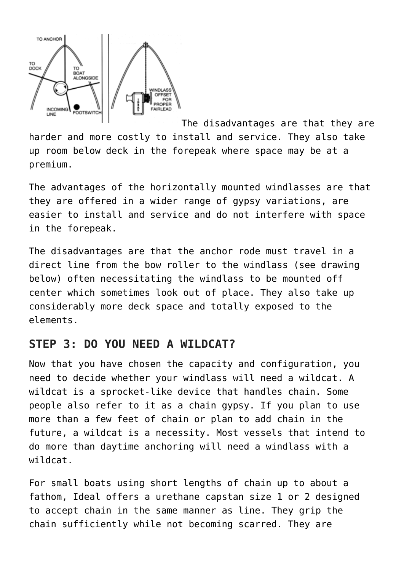

[T](https://www.schaefermarine.com/wp-content/uploads/2017/05/bowGIF.gif)he disadvantages are that they are harder and more costly to install and service. They also take up room below deck in the forepeak where space may be at a premium.

The advantages of the horizontally mounted windlasses are that they are offered in a wider range of gypsy variations, are easier to install and service and do not interfere with space in the forepeak.

The disadvantages are that the anchor rode must travel in a direct line from the bow roller to the windlass (see drawing below) often necessitating the windlass to be mounted off center which sometimes look out of place. They also take up considerably more deck space and totally exposed to the elements.

#### **STEP 3: DO YOU NEED A WILDCAT?**

Now that you have chosen the capacity and configuration, you need to decide whether your windlass will need a wildcat. A wildcat is a sprocket-like device that handles chain. Some people also refer to it as a chain gypsy. If you plan to use more than a few feet of chain or plan to add chain in the future, a wildcat is a necessity. Most vessels that intend to do more than daytime anchoring will need a windlass with a wildcat.

For small boats using short lengths of chain up to about a fathom, Ideal offers a urethane capstan size 1 or 2 designed to accept chain in the same manner as line. They grip the chain sufficiently while not becoming scarred. They are